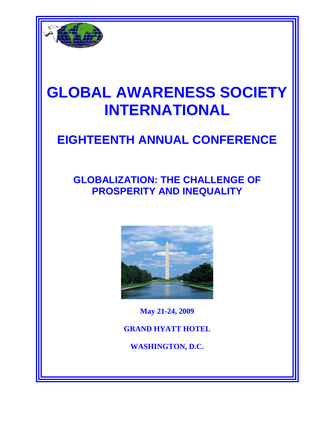

# **GLOBAL AWARENESS SOCIETY INTERNATIONAL**

## **EIGHTEENTH ANNUAL CONFERENCE**

### **GLOBALIZATION: THE CHALLENGE OF PROSPERITY AND INEQUALITY**



**May 21-24, 2009 GRAND HYATT HOTEL WASHINGTON, D.C.**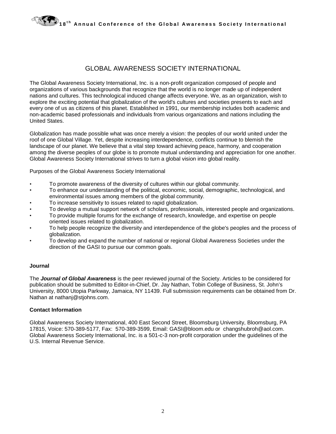#### GLOBAL AWARENESS SOCIETY INTERNATIONAL

The Global Awareness Society International, Inc. is a non-profit organization composed of people and organizations of various backgrounds that recognize that the world is no longer made up of independent nations and cultures. This technological induced change affects everyone. We, as an organization, wish to explore the exciting potential that globalization of the world's cultures and societies presents to each and every one of us as citizens of this planet. Established in 1991, our membership includes both academic and non-academic based professionals and individuals from various organizations and nations including the United States.

Globalization has made possible what was once merely a vision: the peoples of our world united under the roof of one Global Village. Yet, despite increasing interdependence, conflicts continue to blemish the landscape of our planet. We believe that a vital step toward achieving peace, harmony, and cooperation among the diverse peoples of our globe is to promote mutual understanding and appreciation for one another. Global Awareness Society International strives to turn a global vision into global reality.

Purposes of the Global Awareness Society International

- To promote awareness of the diversity of cultures within our global community.
- To enhance our understanding of the political, economic, social, demographic, technological, and environmental issues among members of the global community.
- To increase sensitivity to issues related to rapid globalization.
- To develop a mutual support network of scholars, professionals, interested people and organizations.
- To provide multiple forums for the exchange of research, knowledge, and expertise on people oriented issues related to globalization.
- To help people recognize the diversity and interdependence of the globe's peoples and the process of globalization.
- To develop and expand the number of national or regional Global Awareness Societies under the direction of the GASI to pursue our common goals.

#### **Journal**

The *Journal of Global Awareness* is the peer reviewed journal of the Society. Articles to be considered for publication should be submitted to Editor-in-Chief, Dr. Jay Nathan, Tobin College of Business, St. John's University, 8000 Utopia Parkway, Jamaica, NY 11439. Full submission requirements can be obtained from Dr. Nathan at nathanj@stjohns.com.

#### **Contact Information**

Global Awareness Society International, 400 East Second Street, Bloomsburg University, Bloomsburg, PA 17815, Voice: 570-389-5177, Fax: 570-389-3599, Email: GASI@bloom.edu or changshubroh@aol.com. Global Awareness Society International, Inc. is a 501-c-3 non-profit corporation under the guidelines of the U.S. Internal Revenue Service.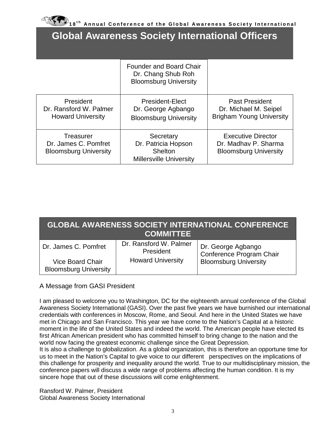#### **Global Awareness Society International Officers**

|                                                                   | Founder and Board Chair<br>Dr. Chang Shub Roh<br><b>Bloomsburg University</b> |                                                                                   |
|-------------------------------------------------------------------|-------------------------------------------------------------------------------|-----------------------------------------------------------------------------------|
| President<br>Dr. Ransford W. Palmer<br><b>Howard University</b>   | President-Elect<br>Dr. George Agbango<br><b>Bloomsburg University</b>         | <b>Past President</b><br>Dr. Michael M. Seipel<br><b>Brigham Young University</b> |
| Treasurer<br>Dr. James C. Pomfret<br><b>Bloomsburg University</b> | Secretary<br>Dr. Patricia Hopson<br>Shelton<br><b>Millersville University</b> | <b>Executive Director</b><br>Dr. Madhay P. Sharma<br><b>Bloomsburg University</b> |

|                                                         | <b>COMMITTEE</b>                    | <b>GLOBAL AWARENESS SOCIETY INTERNATIONAL CONFERENCE</b> |
|---------------------------------------------------------|-------------------------------------|----------------------------------------------------------|
| Dr. James C. Pomfret                                    | Dr. Ransford W. Palmer<br>President | Dr. George Agbango<br>Conference Program Chair           |
| <b>Vice Board Chair</b><br><b>Bloomsburg University</b> | <b>Howard University</b>            | <b>Bloomsburg University</b>                             |

#### A Message from GASI President

I am pleased to welcome you to Washington, DC for the eighteenth annual conference of the Global Awareness Society International (GASI). Over the past five years we have burnished our international credentials with conferences in Moscow, Rome, and Seoul. And here in the United States we have met in Chicago and San Francisco. This year we have come to the Nation's Capital at a historic moment in the life of the United States and indeed the world. The American people have elected its first African American president who has committed himself to bring change to the nation and the world now facing the greatest economic challenge since the Great Depression.

It is also a challenge to globalization. As a global organization, this is therefore an opportune time for us to meet in the Nation's Capital to give voice to our different perspectives on the implications of this challenge for prosperity and inequality around the world. True to our multidisciplinary mission, the conference papers will discuss a wide range of problems affecting the human condition. It is my sincere hope that out of these discussions will come enlightenment.

Ransford W. Palmer, President Global Awareness Society International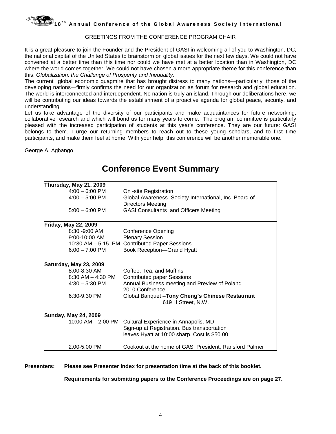

#### GREETINGS FROM THE CONFERENCE PROGRAM CHAIR

It is a great pleasure to join the Founder and the President of GASI in welcoming all of you to Washington, DC, the national capital of the United States to brainstorm on global issues for the next few days. We could not have convened at a better time than this time nor could we have met at a better location than in Washington, DC where the world comes together. We could not have chosen a more appropriate theme for this conference than this: *Globalization: the Challenge of Prosperity and Inequality*.

The current global economic quagmire that has brought distress to many nations—particularly, those of the developing nations—firmly confirms the need for our organization as forum for research and global education. The world is interconnected and interdependent. No nation is truly an island. Through our deliberations here, we will be contributing our ideas towards the establishment of a proactive agenda for global peace, security, and understanding.

Let us take advantage of the diversity of our participants and make acquaintances for future networking, collaborative research and which will bond us for many years to come. The program committee is particularly pleased with the increased participation of students at this year's conference. They are our future: GASI belongs to them. I urge our returning members to reach out to these young scholars, and to first time participants, and make them feel at home. With your help, this conference will be another memorable one.

George A. Agbango

| Thursday, May 21, 2009        |                                                                                                                                                        |
|-------------------------------|--------------------------------------------------------------------------------------------------------------------------------------------------------|
| $4:00 - 6:00$ PM              | On -site Registration                                                                                                                                  |
| $4:00 - 5:00$ PM              | Global Awareness Society International, Inc Board of                                                                                                   |
|                               | <b>Directors Meeting</b>                                                                                                                               |
| $5:00 - 6:00$ PM              | <b>GASI Consultants and Officers Meeting</b>                                                                                                           |
| <b>Friday, May 22, 2009</b>   |                                                                                                                                                        |
| $8:30 - 9:00$ AM              | <b>Conference Opening</b>                                                                                                                              |
| 9:00-10:00 AM                 | <b>Plenary Session</b>                                                                                                                                 |
|                               | 10:30 AM - 5:15 PM Contributed Paper Sessions                                                                                                          |
| $6:00 - 7:00$ PM              | Book Reception-Grand Hyatt                                                                                                                             |
| <b>Saturday, May 23, 2009</b> |                                                                                                                                                        |
| $8:00 - 8:30$ AM              | Coffee, Tea, and Muffins                                                                                                                               |
| $8:30$ AM $-$ 4:30 PM         | <b>Contributed paper Sessions</b>                                                                                                                      |
| $4:30 - 5:30$ PM              | Annual Business meeting and Preview of Poland<br>2010 Conference                                                                                       |
| $6:30-9:30$ PM                | Global Banquet - Tony Cheng's Chinese Restaurant<br>619 H Street, N.W.                                                                                 |
| <b>Sunday, May 24, 2009</b>   |                                                                                                                                                        |
|                               | 10:00 AM - 2:00 PM Cultural Experience in Annapolis. MD<br>Sign-up at Registration. Bus transportation<br>leaves Hyatt at 10:00 sharp. Cost is \$50.00 |
| 2:00-5:00 PM                  | Cookout at the home of GASI President, Ransford Palmer                                                                                                 |

#### **Conference Event Summary**

**Presenters: Please see Presenter Index for presentation time at the back of this booklet.**

**Requirements for submitting papers to the Conference Proceedings are on page 27.**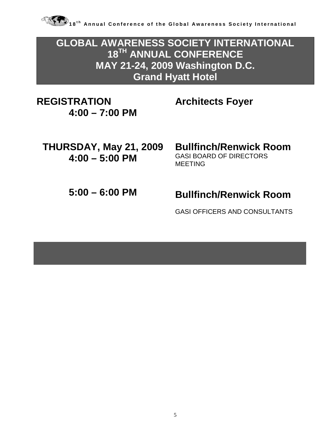

**GLOBAL AWARENESS SOCIETY INTERNATIONAL 18TH ANNUAL CONFERENCE MAY 21-24, 2009 Washington D.C. Grand Hyatt Hotel** 

**REGISTRATION 4:00 – 7:00 PM** **Architects Foyer**

**THURSDAY, May 21, 2009 4:00 – 5:00 PM**

#### GASI BOARD OF DIRECTORS MEETING

**Bullfinch/Renwick Room**

### **5:00 – 6:00 PM Bullfinch/Renwick Room**

GASI OFFICERS AND CONSULTANTS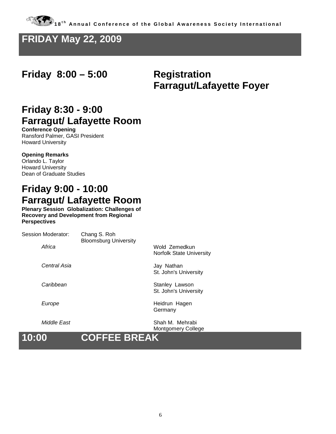#### **FRIDAY May 22, 2009**

#### **Friday 8:00 – 5:00 Registration**

# **Farragut/Lafayette Foyer**

### **Friday 8:30 - 9:00 Farragut/ Lafayette Room**

**Conference Opening** Ransford Palmer, GASI President Howard University

#### **Opening Remarks**

Orlando L. Taylor Howard University Dean of Graduate Studies

### **Friday 9:00 - 10:00 Farragut/ Lafayette Room**

**Plenary Session Globalization: Challenges of Recovery and Development from Regional Perspectives**

| 10:00              | <b>COFFEE BREAK</b>                          | <b>Montgomery College</b>                        |
|--------------------|----------------------------------------------|--------------------------------------------------|
| Middle East        |                                              | Shah M. Mehrabi                                  |
| Europe             |                                              | Heidrun Hagen<br>Germany                         |
| Caribbean          |                                              | Stanley Lawson<br>St. John's University          |
| Central Asia       |                                              | Jay Nathan<br>St. John's University              |
| Africa             |                                              | Wold Zemedkun<br><b>Norfolk State University</b> |
| Session Moderator: | Chang S. Roh<br><b>Bloomsburg University</b> |                                                  |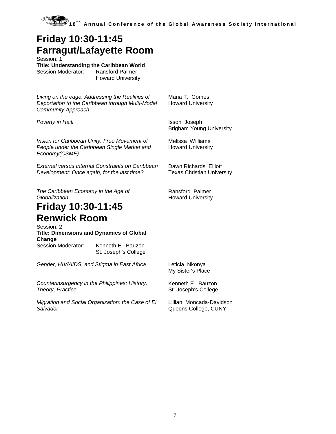

#### **Friday 10:30-11:45 Farragut/Lafayette Room**

Session: 1

**Title: Understanding the Caribbean World**

Session Moderator:

Howard University

*Living on the edge: Addressing the Realities of Deportation to the Caribbean through Multi-Modal Community Approach*

**Poverty in Haiti Isson Joseph** 

*Vision for Caribbean Unity: Free Movement of People under the Caribbean Single Market and Economy(CSME)*

*External versus Internal Constraints on Caribbean Development: Once again, for the last time?*

*The Caribbean Economy in the Age of Globalization*

#### **Friday 10:30-11:45 Renwick Room**

Session: 2 **Title: Dimensions and Dynamics of Global Change** Session Moderator: Kenneth E. Bauzon St. Joseph's College

*Gender, HIV/AIDS, and Stigma in East Africa* Leticia Nkonya My Sister's Place *Counterinsurgency in the Philippines: History, Theory, Practice* Kenneth E. Bauzon St. Joseph's College *Migration and Social Organization: the Case of El Salvador* Lillian Moncada-Davidson Queens College, CUNY

Maria T. Gomes Howard University

Brigham Young University

Melissa Williams Howard University

Dawn Richards Elliott Texas Christian University

Ransford Palmer Howard University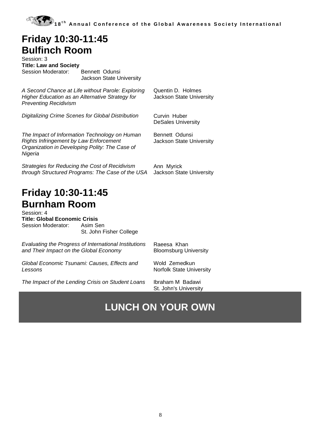#### **Friday 10:30-11:45 Bulfinch Room**

| Session: 3                    |                |                          |
|-------------------------------|----------------|--------------------------|
| <b>Title: Law and Society</b> |                |                          |
| Session Moderator:            | Bennett Odunsi | Jackson State University |

*A Second Chance at Life without Parole: Exploring Higher Education as an Alternative Strategy for Preventing Recidivism*

*Digitalizing Crime Scenes for Global Distribution* Curvin Huber

Quentin D. Holmes Jackson State University

DeSales University

Bennett Odunsi

*The Impact of Information Technology on Human Rights Infringement by Law Enforcement Organization in Developing Polity: The Case of Nigeria*

*Strategies for Reducing the Cost of Recidivism through Structured Programs: The Case of the USA*

Jackson State University

Ann Myrick Jackson State University

### **Friday 10:30-11:45 Burnham Room**

Session: 4 **Title: Global Economic Crisis** Session Moderator: St. John Fisher College

| Evaluating the Progress of International Institutions | Raeesa Khan                     |  |
|-------------------------------------------------------|---------------------------------|--|
| and Their Impact on the Global Economy                | <b>Bloomsburg University</b>    |  |
| Global Economic Tsunami: Causes, Effects and          | Wold Zemedkun                   |  |
| Lessons                                               | <b>Norfolk State University</b> |  |
|                                                       |                                 |  |

*The Impact of the Lending Crisis on Student Loans* Ibraham M Badawi St. John's University

### **LUNCH ON YOUR OWN**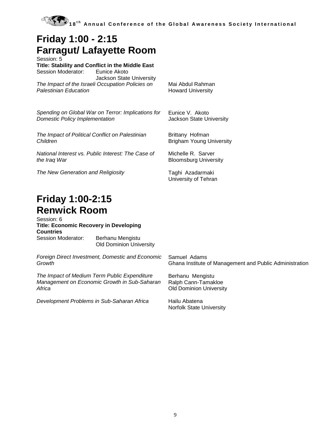

#### **Friday 1:00 - 2:15 Farragut/ Lafayette Room**

Session: 5 **Title: Stability and Conflict in the Middle East** Session Moderator: Jackson State University *The Impact of the Israeli Occupation Policies on Palestinian Education*

*Spending on Global War on Terror: Implications for Domestic Policy Implementation*

*The Impact of Political Conflict on Palestinian Children*

*National Interest vs. Public Interest: The Case of the Iraq War*

**The New Generation and Religiosity** The New Generation and Religiosity

Mai Abdul Rahman Howard University

Eunice V. Akoto Jackson State University

Brittany Hofman Brigham Young University

Michelle R. Sarver Bloomsburg University

University of Tehran

#### **Friday 1:00-2:15 Renwick Room**

Session: 6 **Title: Economic Recovery in Developing Countries**<br>Session Moderator: Berhanu Mengistu

Old Dominion University

*Foreign Direct Investment, Domestic and Economic Growth* Samuel Adams Ghana Institute of Management and Public Administration *The Impact of Medium Term Public Expenditure Management on Economic Growth in Sub-Saharan Africa* Berhanu Mengistu Ralph Cann-Tamakloe

*Development Problems in Sub-Saharan Africa* Hailu Abatena

Old Dominion University

Norfolk State University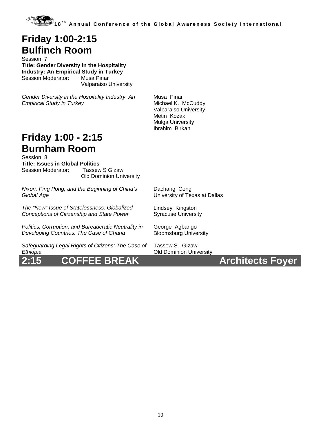#### **Friday 1:00-2:15 Bulfinch Room**

Session: 7 **Title: Gender Diversity in the Hospitality Industry: An Empirical Study in Turkey** Session Moderator: Musa Pinar Valparaiso University

*Gender Diversity in the Hospitality Industry: An Empirical Study in Turkey*

Musa Pinar Michael K. McCuddy Valparaiso University Metin Kozak Mulga University Ibrahim Birkan

#### **Friday 1:00 - 2:15 Burnham Room**

Session: 8 **Title: Issues in Global Politics** Session Moderator: Old Dominion University

*Nixon, Ping Pong, and the Beginning of China's Global Age*

*The "New" Issue of Statelessness: Globalized Conceptions of Citizenship and State Power*

*Politics, Corruption, and Bureaucratic Neutrality in Developing Countries: The Case of Ghana*

*Safeguarding Legal Rights of Citizens: The Case of Ethiopia*

**2:15 COFFEE BREAK Architects Foyer**

Dachang Cong University of Texas at Dallas

Lindsey Kingston Syracuse University

George Agbango Bloomsburg University

Tassew S. Gizaw Old Dominion University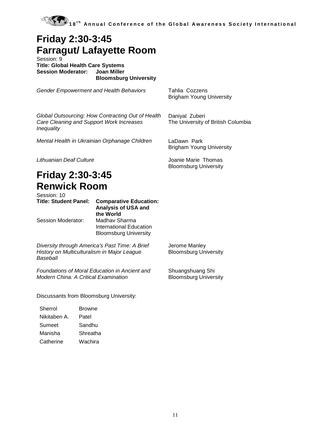

### **Friday 2:30-3:45 Farragut/ Lafayette Room**

Session: 9 **Title: Global Health Care Systems Session Moderator: Bloomsburg University**

*Gender Empowerment and Health Behaviors* Tahlia Cozzens

*Global Outsourcing: How Contracting Out of Health Care Cleaning and Support Work Increases Inequality*

*Mental Health in Ukrainian Orphanage Children* LaDawn Park

Brigham Young University

Daniyal Zuberi The University of British Columbia

Brigham Young University

Bloomsburg University

*Lithuanian Deaf Culture* Joanie Marie Thomas

#### **Friday 2:30-3:45 Renwick Room** Session: 10

| ucssiuit. Tu<br><b>Title: Student Panel:</b> | <b>Comparative Education:</b><br><b>Analysis of USA and</b><br>the World |
|----------------------------------------------|--------------------------------------------------------------------------|
| Session Moderator:                           | Madhav Sharma<br>International Education<br><b>Bloomsburg University</b> |

*Diversity through America's Past Time: A Brief History on Multiculturalism in Major League Baseball*

*Foundations of Moral Education in Ancient and Modern China: A Critical Examination* 

Discussants from Bloomsburg University:

| Sherrol      | Browne   |
|--------------|----------|
| Nikitaben A. | Patel    |
| Sumeet       | Sandhu   |
| Manisha      | Shreatha |
| Catherine    | Wachira  |

Jerome Manley Bloomsburg University

Shuangshuang Shi Bloomsburg University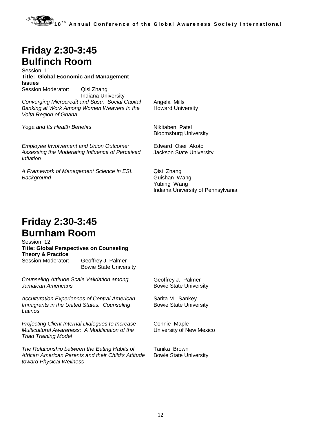### **Friday 2:30-3:45 Bulfinch Room**

Session: 11 **Title: Global Economic and Management Issues** Session Moderator: Qisi Zhang

Indiana University *Converging Microcredit and Susu: Social Capital Banking at Work Among Women Weavers In the Volta Region of Ghana*

*Yoga and Its Health Benefits* Nikitaben Patel

Howard University

Angela Mills

Bloomsburg University

*Employee Involvement and Union Outcome: Assessing the Moderating Influence of Perceived Inflation*

*A Framework of Management Science in ESL Background*

Edward Osei Akoto Jackson State University

Qisi Zhang Guishan Wang Yubing Wang Indiana University of Pennsylvania

#### **Friday 2:30-3:45 Burnham Room**

#### Session: 12 **Title: Global Perspectives on Counseling**

**Theory & Practice** Geoffrey J. Palmer Bowie State University

*Counseling Attitude Scale Validation among Jamaican Americans*

*Acculturation Experiences of Central American Immigrants in the United States: Counseling Latinos*

*Projecting Client Internal Dialogues to Increase Multicultural Awareness: A Modification of the Triad Training Model*

*The Relationship between the Eating Habits of African American Parents and their Child's Attitude toward Physical Wellness*

Geoffrey J. Palmer Bowie State University

Sarita M. Sankey Bowie State University

Connie Maple University of New Mexico

Tanika Brown Bowie State University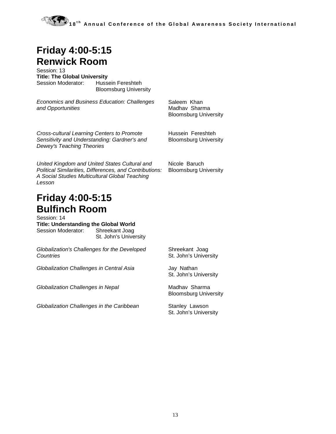### **Friday 4:00-5:15 Renwick Room**

Session: 13 **Title: The Global University** Session Moderator: Hussein Fereshteh

Bloomsburg University

*Economics and Business Education: Challenges and Opportunities*

Saleem Khan Madhav Sharma Bloomsburg University

Hussein Fereshteh Bloomsburg University

*Cross-cultural Learning Centers to Promote Sensitivity and Understanding: Gardner's and Dewey's Teaching Theories*

*United Kingdom and United States Cultural and Political Similarities, Differences, and Contributions: A Social Studies Multicultural Global Teaching Lesson*

#### **Friday 4:00-5:15 Bulfinch Room**

Session: 14 **Title: Understanding the Global World** Session Moderator: Shreekant Joag St. John's University

*Globalization's Challenges for the Developed Countries*

Globalization Challenges in Central Asia **Face Solution** Jay Nathan

**Globalization Challenges in Nepal** Madhav Sharma

*Globalization Challenges in the Caribbean* Stanley Lawson

Nicole Baruch Bloomsburg University

Shreekant Joag St. John's University

St. John's University

Bloomsburg University

St. John's University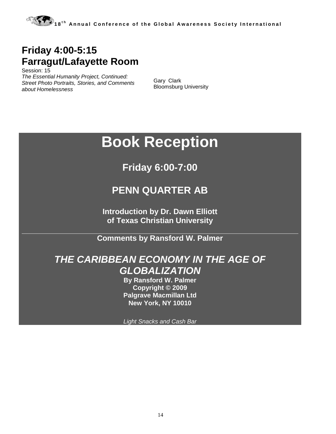### **Friday 4:00-5:15 Farragut/Lafayette Room**

Session: 15 *The Essential Humanity Project, Continued: Street Photo Portraits, Stories, and Comments about Homelessness*

Gary Clark Bloomsburg University

# **Book Reception**

**Friday 6:00-7:00**

#### **PENN QUARTER AB**

**Introduction by Dr. Dawn Elliott of Texas Christian University**

**Comments by Ransford W. Palmer** 

#### *THE CARIBBEAN ECONOMY IN THE AGE OF GLOBALIZATION*

**By Ransford W. Palmer Copyright © 2009 Palgrave Macmillan Ltd New York, NY 10010**

*Light Snacks and Cash Bar*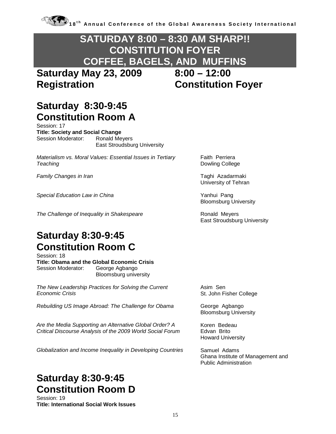#### **SATURDAY 8:00 – 8:30 AM SHARP!! CONSTITUTION FOYER COFFEE, BAGELS, AND MUFFINS**

**Saturday May 23, 2009 8:00 – 12:00 Registration Constitution Foyer**

### **Saturday 8:30-9:45 Constitution Room A**

Session: 17 **Title: Society and Social Change** Session Moderator: Ronald Meyers East Stroudsburg University

*Materialism vs. Moral Values: Essential Issues in Tertiary Teaching*

*Family Changes in Iran* Taghi Azadarmaki

**Special Education Law in China Yanhui Pang** Yanhui Pang

**The Challenge of Inequality in Shakespeare Ronald Meyers** 

### **Saturday 8:30-9:45 Constitution Room C**

Session: 18 **Title: Obama and the Global Economic Crisis** Session Moderator: Bloomsburg university

*The New Leadership Practices for Solving the Current Economic Crisis*

*Rebuilding US Image Abroad: The Challenge for Obama* **George Agbango** 

*Are the Media Supporting an Alternative Global Order? A Critical Discourse Analysis of the 2009 World Social Forum*

*Globalization and Income Inequality in Developing Countries* Samuel Adams

### **Saturday 8:30-9:45 Constitution Room D**

Session: 19 **Title: International Social Work Issues** Faith Perriera Dowling College

University of Tehran

Bloomsburg University

East Stroudsburg University

Asim Sen St. John Fisher College

Bloomsburg University

Koren Bedeau Edvan Brito Howard University

Ghana Institute of Management and Public Administration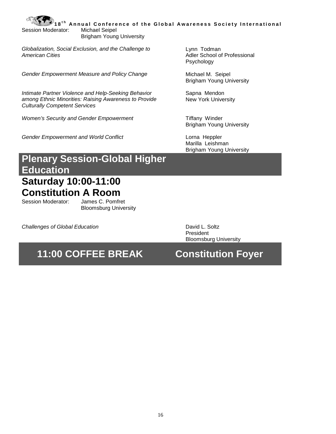**1 8 t h Annual Conference of the Global Awareness Society International** Session Moderator: Michael Seipel Brigham Young University

*Globalization, Social Exclusion, and the Challenge to American Cities*

Gender Empowerment Measure and Policy Change **Michael M.** Seipel

*Intimate Partner Violence and Help-Seeking Behavior among Ethnic Minorities: Raising Awareness to Provide Culturally Competent Services*

*Women's Security and Gender Empowerment* Tiffany Winder

Gender Empowerment and World Conflict **Lorna Heppler** Lorna Heppler

Lynn Todman Adler School of Professional Psychology

Brigham Young University

Sapna Mendon New York University

Brigham Young University

Marilla Leishman Brigham Young University

### **Plenary Session-Global Higher Education**

## **Saturday 10:00-11:00 Constitution A Room**<br>Session Moderator: James C. Pomfret

Session Moderator:

Bloomsburg University

*Challenges of Global Education* David L. Soltz

President Bloomsburg University

### **11:00 COFFEE BREAK Constitution Foyer**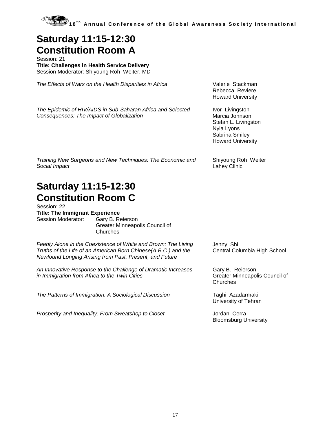

#### **Saturday 11:15-12:30 Constitution Room A**

Session: 21 **Title: Challenges in Health Service Delivery** Session Moderator: Shiyoung Roh Weiter, MD

The Effects of Wars on the Health Disparities in Africa **Valerie Stackman** 

Rebecca Reviere Howard University

*The Epidemic of HIV/AIDS in Sub-Saharan Africa and Selected Consequences: The Impact of Globalization*

Ivor Livingston Marcia Johnson Stefan L. Livingston Nyla Lyons Sabrina Smiley Howard University

Shiyoung Roh Weiter

Lahey Clinic

*Training New Surgeons and New Techniques: The Economic and Social Impact*

#### **Saturday 11:15-12:30 Constitution Room C**

Session: 22 **Title: The Immigrant Experience**

Session Moderator: Gary B. Reierson Greater Minneapolis Council of **Churches** 

*Feebly Alone in the Coexistence of White and Brown: The Living Truths of the Life of an American Born Chinese(A.B.C.) and the Newfound Longing Arising from Past, Present, and Future*

*An Innovative Response to the Challenge of Dramatic Increases in Immigration from Africa to the Twin Cities*

*The Patterns of Immigration: A Sociological Discussion* Taghi Azadarmaki

*Prosperity and Inequality: From Sweatshop to Closet* **Jordan Cerra** 

Jenny Shi Central Columbia High School

Gary B. Reierson Greater Minneapolis Council of **Churches** 

University of Tehran

Bloomsburg University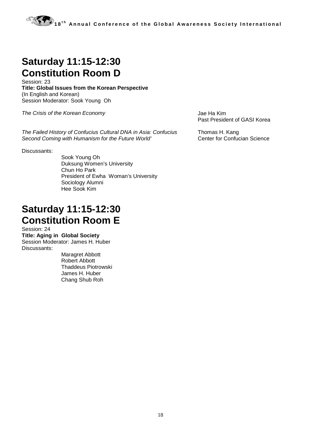#### **Saturday 11:15-12:30 Constitution Room D**

Session: 23 **Title: Global Issues from the Korean Perspective** (In English and Korean) Session Moderator: Sook Young Oh

*The Crisis of the Korean Economy* Jae Ha Kim

*The Failed History of Confucius Cultural DNA in Asia: Confucius Second Coming with Humanism for the Future World'* 

Discussants:

Sook Young Oh Duksung Women's University Chun Ho Park President of Ewha Woman's University Sociology Alumni Hee Sook Kim

#### **Saturday 11:15-12:30 Constitution Room E**

Session: 24

**Title: Aging in Global Society** Session Moderator: James H. Huber Discussants:

> Maragret Abbott Robert Abbott Thaddeus Piotrowski James H. Huber Chang Shub Roh

Past President of GASI Korea

Thomas H. Kang Center for Confucian Science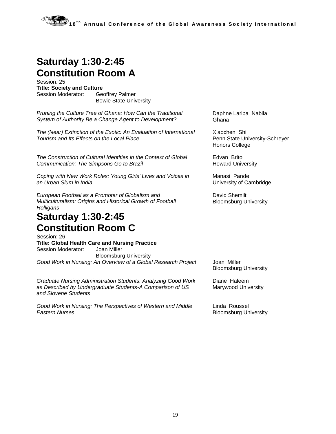### **Saturday 1:30-2:45 Constitution Room A**

Session: 25 **Title: Society and Culture**<br>Session Moderator: Ge **Geoffrey Palmer** Bowie State University

*Pruning the Culture Tree of Ghana: How Can the Traditional System of Authority Be a Change Agent to Development?*

*The (Near) Extinction of the Exotic: An Evaluation of International Tourism and Its Effects on the Local Place*

*The Construction of Cultural Identities in the Context of Global Communication: The Simpsons Go to Brazil*

*Coping with New Work Roles: Young Girls' Lives and Voices in an Urban Slum in India*

*European Football as a Promoter of Globalism and Multiculturalism: Origins and Historical Growth of Football Holligans*

#### **Saturday 1:30-2:45 Constitution Room C**

Session: 26 **Title: Global Health Care and Nursing Practice** Session Moderator: Joan Miller Bloomsburg University *Good Work in Nursing: An Overview of a Global Research Project* Joan Miller

*Graduate Nursing Administration Students: Analyzing Good Work as Described by Undergraduate Students-A Comparison of US and Slovene Students*

*Good Work in Nursing: The Perspectives of Western and Middle Eastern Nurses*

Daphne Lariba Nabila Ghana

Xiaochen Shi Penn State University-Schreyer Honors College

Edvan Brito Howard University

Manasi Pande University of Cambridge

David Shemilt Bloomsburg University

Bloomsburg University

Diane Haleem Marywood University

Linda Roussel Bloomsburg University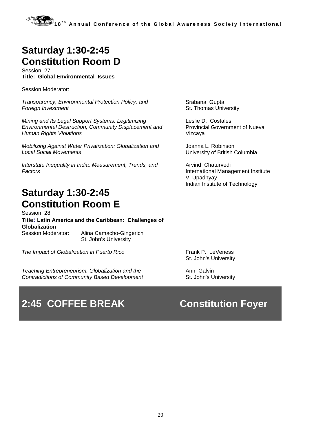#### **Saturday 1:30-2:45 Constitution Room D**

Session: 27 **Title: Global Environmental Issues**

Session Moderator:

*Transparency, Environmental Protection Policy, and Foreign Investment*

*Mining and Its Legal Support Systems: Legitimizing Environmental Destruction, Community Displacement and Human Rights Violations*

*Mobilizing Against Water Privatization: Globalization and Local Social Movements*

*Interstate Inequality in India: Measurement, Trends, and Factors*

#### **Saturday 1:30-2:45 Constitution Room E**

Session: 28 **Title: Latin America and the Caribbean: Challenges of Globalization**

Session Moderator: Alina Camacho-Gingerich St. John's University

*The Impact of Globalization in Puerto Rico* Frank P. LeVeness

*Teaching Entrepreneurism: Globalization and the Contradictions of Community Based Development*

### **2:45 COFFEE BREAK Constitution Foyer**

Srabana Gupta St. Thomas University

Leslie D. Costales Provincial Government of Nueva Vizcaya

Joanna L. Robinson University of British Columbia

Arvind Chaturvedi International Management Institute V. Upadhyay Indian Institute of Technology

St. John's University

Ann Galvin St. John's University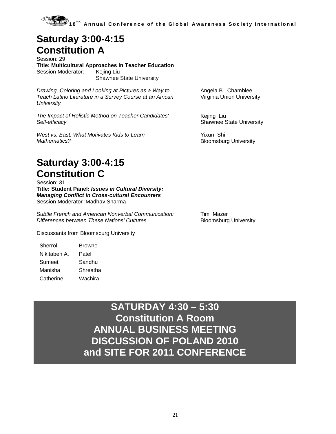#### **Saturday 3:00-4:15 Constitution A**

Session: 29 **Title: Multicultural Approaches in Teacher Education** Session Moderator: Shawnee State University

*Drawing, Coloring and Looking at Pictures as a Way to Teach Latino Literature in a Survey Course at an African University*

*The Impact of Holistic Method on Teacher Candidates' Self-efficacy*

*West vs. East: What Motivates Kids to Learn Mathematics?*

#### **Saturday 3:00-4:15 Constitution C**

Session: 31 **Title: Student Panel:** *Issues in Cultural Diversity: Managing Conflict in Cross-cultural Encounters* Session Moderator :Madhav Sharma

*Subtle French and American Nonverbal Communication: Differences between These Nations' Cultures*

Discussants from Bloomsburg University

| Sherrol      | Browne   |
|--------------|----------|
| Nikitaben A. | Patel    |
| Sumeet       | Sandhu   |
| Manisha      | Shreatha |
| Catherine    | Wachira  |

Angela B. Chamblee Virginia Union University

Kejing Liu Shawnee State University

Yixun Shi Bloomsburg University

Tim Mazer Bloomsburg University

**SATURDAY 4:30 – 5:30 Constitution A Room ANNUAL BUSINESS MEETING DISCUSSION OF POLAND 2010 and SITE FOR 2011 CONFERENCE**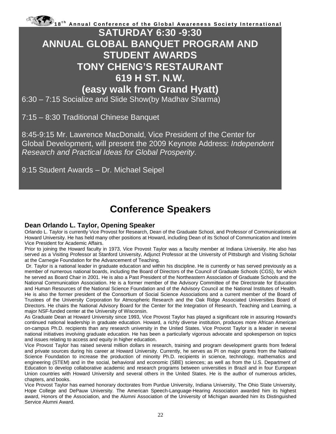#### **SATURDAY 6:30 -9:30 ANNUAL GLOBAL BANQUET PROGRAM AND STUDENT AWARDS TONY CHENG'S RESTAURANT 619 H ST. N.W. (easy walk from Grand Hyatt)**

6:30 – 7:15 Socialize and Slide Show(by Madhav Sharma)

7:15 – 8:30 Traditional Chinese Banquet

8:45-9:15 Mr. Lawrence MacDonald, Vice President of the Center for Global Development, will present the 2009 Keynote Address: *Independent Research and Practical Ideas for Global Prosperity*.

9:15 Student Awards – Dr. Michael Seipel

#### **Conference Speakers**

#### **Dean Orlando L. Taylor, Opening Speaker**

Orlando L. Taylor is currently Vice Provost for Research, Dean of the Graduate School, and Professor of Communications at Howard University. He has held many other positions at Howard, including Dean of its School of Communication and Interim Vice President for Academic Affairs.

Prior to joining the Howard faculty in 1973, Vice Provost Taylor was a faculty member at Indiana University. He also has served as a Visiting Professor at Stanford University, Adjunct Professor at the University of Pittsburgh and Visiting Scholar at the Carnegie Foundation for the Advancement of Teaching.

Dr. Taylor is a national leader in graduate education and within his discipline. He is currently or has served previously as a member of numerous national boards, including the Board of Directors of the Council of Graduate Schools (CGS), for which he served as Board Chair in 2001. He is also a Past President of the Northeastern Association of Graduate Schools and the National Communication Association. He is a former member of the Advisory Committee of the Directorate for Education and Human Resources of the National Science Foundation and of the Advisory Council at the National Institutes of Health. He is also the former president of the Consortium of Social Science Associations and a current member of the Board of Trustees of the University Corporation for Atmospheric Research and the Oak Ridge Associated Universities Board of Directors. He chairs the National Advisory Board for the Center for the Integration of Research, Teaching and Learning, a major NSF-funded center at the University of Wisconsin.

As Graduate Dean at Howard University since 1993, Vice Provost Taylor has played a significant role in assuring Howard's continued national leadership in graduate education. Howard, a richly diverse institution, produces more African American on-campus Ph.D. recipients than any research university in the United States. Vice Provost Taylor is a leader in several national initiatives involving graduate education. He has been a particularly vigorous advocate and spokesperson on topics and issues relating to access and equity in higher education.

Vice Provost Taylor has raised several million dollars in research, training and program development grants from federal and private sources during his career at Howard University. Currently, he serves as PI on major grants from the National Science Foundation to increase the production of minority Ph.D. recipients in science, technology, mathematics and engineering (STEM) and in the social, behavioral and economic (SBE) sciences; as well as from the U.S. Department of Education to develop collaborative academic and research programs between universities in Brazil and in four European Union countries with Howard University and several others in the United States. He is the author of numerous articles, chapters, and books.

Vice Provost Taylor has earned honorary doctorates from Purdue University, Indiana University, The Ohio State University, Hope College and DePauw University. The American Speech-Language-Hearing Association awarded him its highest award, Honors of the Association, and the Alumni Association of the University of Michigan awarded him its Distinguished Service Alumni Award.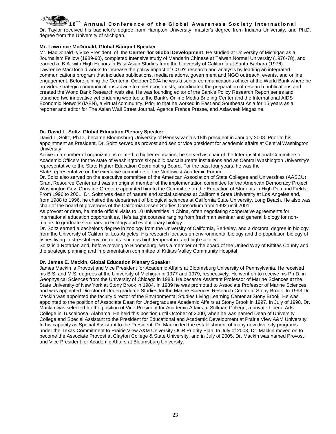Dr. Taylor received his bachelor's degree from Hampton University, master's degree from Indiana University, and Ph.D. degree from the University of Michigan.

#### **Mr. Lawrence McDonald, Global Banquet Speaker**

Mr. MacDonald is Vice President of the **Center for Global Development**. He studied at University of Michigan as a Journalism Fellow (1989-90), completed Intensive study of Mandarin Chinese at Taiwan Normal University (1976-78), and earned a B.A. with High Honors in East Asian Studies from the University of California at Santa Barbara (1976). Lawrence MacDonald works to increase the policy impact of CGD's research and analysis by leading an integrated communications program that includes publications, media relations, government and NGO outreach, events, and online engagement. Before joining the Center in October 2004 he was a senior communications officer at the World Bank where he provided strategic communications advice to chief economists, coordinated the preparation of research publications and created the World Bank Research web site. He was founding editor of the Bank's Policy Research Report series and launched two innovative yet enduring web tools: the Bank's Online Media Briefing Center and the International AIDS Economic Network (IAEN), a virtual community. Prior to that he worked in East and Southeast Asia for 15 years as a reporter and editor for The Asian Wall Street Journal, Agence France Presse, and Asiaweek Magazine.

#### **Dr. David L. Soltz, Global Education Plenary Speaker**

David L. Soltz, Ph.D., became Bloomsburg University of Pennsylvania's 18th president in January 2008. Prior to his appointment as President, Dr. Soltz served as provost and senior vice president for academic affairs at Central Washington **University** 

Active in a number of organizations related to higher education, he served as chair of the Inter-institutional Committee of Academic Officers for the state of Washington's six public baccalaureate institutions and as Central Washington University's representative to the State Higher Education Coordinating Board. For the past four years, he was the State representative on the executive committee of the Northwest Academic Forum.

Dr. Soltz also served on the executive committee of the American Association of State Colleges and Universities (AASCU) Grant Resource Center and was an original member of the implementation committee for the American Democracy Project. Washington Gov. Christine Gregoire appointed him to the Committee on the Education of Students in High Demand Fields. From 1996 to 2001, Dr. Soltz was dean of natural and social sciences at California State University at Los Angeles and, from 1988 to 1996, he chaired the department of biological sciences at California State University, Long Beach. He also was chair of the board of governors of the California Desert Studies Consortium from 1992 until 2001.

As provost or dean, he made official visits to 10 universities in China, often negotiating cooperative agreements for international education opportunities. He's taught courses ranging from freshman seminar and general biology for nonmajors to graduate seminars on ecology and evolutionary biology.

Dr. Soltz earned a bachelor's degree in zoology from the University of California, Berkeley, and a doctoral degree in biology from the University of California, Los Angeles. His research focuses on environmental biology and the population biology of fishes living in stressful environments, such as high temperature and high salinity.

Soltz is a Rotarian and, before moving to Bloomsburg, was a member of the board of the United Way of Kittitas County and the strategic planning and implementation committee of Kittitas Valley Community Hospital

#### **Dr. James E. Mackin, Global Education Plenary Speaker**

James Mackin is Provost and Vice President for Academic Affairs at Bloomsburg University of Pennsylvania, He received his B.S. and M.S. degrees at the University of Michigan in 1977 and 1979, respectively. He went on to receive his Ph.D. in Geophysical Sciences from the University of Chicago in 1983. He became Assistant Professor of Marine Sciences at the State University of New York at Stony Brook in 1984. In 1989 he was promoted to Associate Professor of Marine Sciences and was appointed Director of Undergraduate Studies for the Marine Sciences Research Center at Stony Brook. In 1993 Dr. Mackin was appointed the faculty director of the Environmental Studies Living Learning Center at Stony Brook. He was appointed to the position of Associate Dean for Undergraduate Academic Affairs at Stony Brook in 1997. In July of 1998, Dr. Mackin was selected for the position of Vice President for Academic Affairs at Stillman College, a private Liberal Arts College in Tuscaloosa, Alabama. He held this position until October of 2000, when he was named Dean of University College and Special Assistant to the President for Educational and Academic Development at Prairie View A&M University. In his capacity as Special Assistant to the President, Dr. Mackin led the establishment of many new diversity programs under the Texas Commitment to Prairie View A&M University OCR Priority Plan. In July of 2003, Dr. Mackin moved on to become the Associate Provost at Clayton College & State University, and in July of 2005, Dr. Mackin was named Provost and Vice President for Academic Affairs at Bloomsburg University.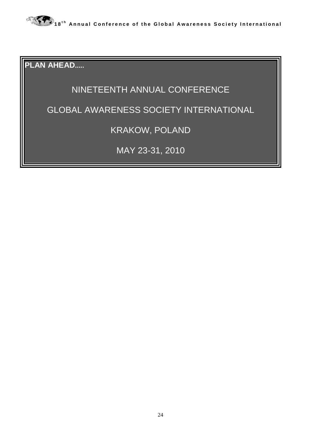

**PLAN AHEAD.....**

#### NINETEENTH ANNUAL CONFERENCE

#### GLOBAL AWARENESS SOCIETY INTERNATIONAL

#### KRAKOW, POLAND

MAY 23-31, 2010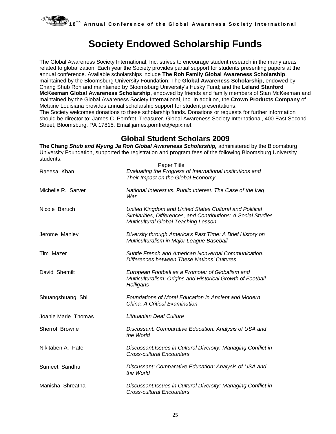

#### **Society Endowed Scholarship Funds**

The Global Awareness Society International, Inc. strives to encourage student research in the many areas related to globalization. Each year the Society provides partial support for students presenting papers at the annual conference. Available scholarships include **The Roh Family Global Awareness Scholarship**, maintained by the Bloomsburg University Foundation; The **Global Awareness Scholarship**, endowed by Chang Shub Roh and maintained by Bloomsburg University's Husky Fund; and the **Leland Stanford McKeeman Global Awareness Scholarship**, endowed by friends and family members of Stan McKeeman and maintained by the Global Awareness Society International, Inc. In addition, the **Crown Products Company** of Metairie Louisiana provides annual scholarship support for student presentations.

The Society welcomes donations to these scholarship funds. Donations or requests for further information should be director to: James C. Pomfret, Treasurer, Global Awareness Society International, 400 East Second Street, Bloomsburg, PA 17815. Email:james.pomfret@epix.net

#### **Global Student Scholars 2009**

**The Chang** *Shub and Myung Ja Roh Global Awareness Scholarship,* administered by the Bloomsburg University Foundation, supported the registration and program fees of the following Bloomsburg University students:

| Raeesa Khan         | <b>Paper Title</b><br>Evaluating the Progress of International Institutions and<br>Their Impact on the Global Economy                                             |
|---------------------|-------------------------------------------------------------------------------------------------------------------------------------------------------------------|
| Michelle R. Sarver  | National Interest vs. Public Interest: The Case of the Iraq<br>War                                                                                                |
| Nicole Baruch       | United Kingdom and United States Cultural and Political<br>Similarities, Differences, and Contributions: A Social Studies<br>Multicultural Global Teaching Lesson |
| Jerome Manley       | Diversity through America's Past Time: A Brief History on<br>Multiculturalism in Major League Baseball                                                            |
| Tim Mazer           | Subtle French and American Nonverbal Communication:<br>Differences between These Nations' Cultures                                                                |
| David Shemilt       | European Football as a Promoter of Globalism and<br>Multiculturalism: Origins and Historical Growth of Football<br>Holligans                                      |
| Shuangshuang Shi    | Foundations of Moral Education in Ancient and Modern<br>China: A Critical Examination                                                                             |
| Joanie Marie Thomas | Lithuanian Deaf Culture                                                                                                                                           |
| Sherrol Browne      | Discussant: Comparative Education: Analysis of USA and<br>the World                                                                                               |
| Nikitaben A. Patel  | Discussant: Issues in Cultural Diversity: Managing Conflict in<br><b>Cross-cultural Encounters</b>                                                                |
| Sumeet Sandhu       | Discussant: Comparative Education: Analysis of USA and<br>the World                                                                                               |
| Manisha Shreatha    | Discussant: Issues in Cultural Diversity: Managing Conflict in<br><b>Cross-cultural Encounters</b>                                                                |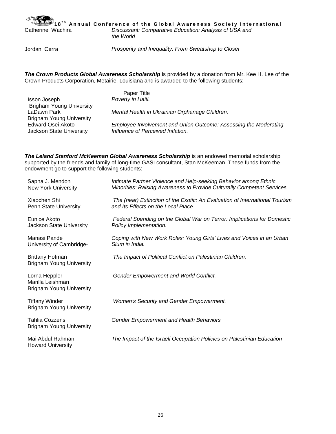

18<sup>th</sup> Annual Conference of the Global Awareness Society International<br>Catherine Wachira *Discussant: Comparative Education: Analysis of USA and* Discussant: Comparative Education: Analysis of USA and *the World*

Jordan Cerra *Prosperity and Inequality: From Sweatshop to Closet*

*The Crown Products Global Awareness Scholarship* is provided by a donation from Mr. Kee H. Lee of the Crown Products Corporation, Metairie, Louisiana and is awarded to the following students:

|                                 | Paper Title                                                      |
|---------------------------------|------------------------------------------------------------------|
| Isson Joseph                    | Poverty in Haiti.                                                |
| <b>Brigham Young University</b> |                                                                  |
| LaDawn Park                     | Mental Health in Ukrainian Orphanage Children.                   |
| <b>Brigham Young University</b> |                                                                  |
| Edward Osei Akoto               | Employee Involvement and Union Outcome: Assessing the Moderating |
| Jackson State University        | Influence of Perceived Inflation.                                |
|                                 |                                                                  |

*The Leland Stanford McKeeman Global Awareness Scholarship* is an endowed memorial scholarship supported by the friends and family of long-time GASI consultant, Stan McKeeman. These funds from the endowment go to support the following students:

| Sapna J. Mendon<br><b>New York University</b>                        | Intimate Partner Violence and Help-seeking Behavior among Ethnic<br>Minorities: Raising Awareness to Provide Culturally Competent Services. |
|----------------------------------------------------------------------|---------------------------------------------------------------------------------------------------------------------------------------------|
| Xiaochen Shi<br>Penn State University                                | The (near) Extinction of the Exotic: An Evaluation of International Tourism<br>and Its Effects on the Local Place.                          |
| Eunice Akoto<br>Jackson State University                             | Federal Spending on the Global War on Terror: Implications for Domestic<br>Policy Implementation.                                           |
| Manasi Pande<br>University of Cambridge-                             | Coping with New Work Roles: Young Girls' Lives and Voices in an Urban<br>Slum in India.                                                     |
| <b>Brittany Hofman</b><br><b>Brigham Young University</b>            | The Impact of Political Conflict on Palestinian Children.                                                                                   |
| Lorna Heppler<br>Marilla Leishman<br><b>Brigham Young University</b> | <b>Gender Empowerment and World Conflict.</b>                                                                                               |
| <b>Tiffany Winder</b><br><b>Brigham Young University</b>             | Women's Security and Gender Empowerment.                                                                                                    |
| <b>Tahlia Cozzens</b><br><b>Brigham Young University</b>             | <b>Gender Empowerment and Health Behaviors</b>                                                                                              |
| Mai Abdul Rahman<br><b>Howard University</b>                         | The Impact of the Israeli Occupation Policies on Palestinian Education                                                                      |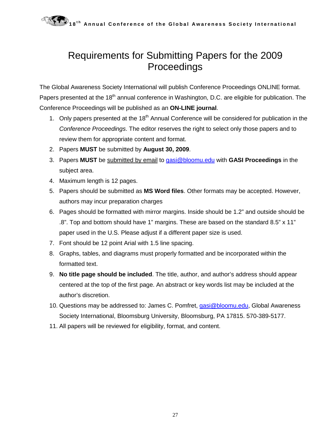### Requirements for Submitting Papers for the 2009 Proceedings

The Global Awareness Society International will publish Conference Proceedings ONLINE format. Papers presented at the 18<sup>th</sup> annual conference in Washington, D.C. are eligible for publication. The Conference Proceedings will be published as an **ON-LINE journal**.

- 1. Only papers presented at the 18<sup>th</sup> Annual Conference will be considered for publication in the *Conference Proceedings*. The editor reserves the right to select only those papers and to review them for appropriate content and format.
- 2. Papers **MUST** be submitted by **August 30, 2009**.
- 3. Papers **MUST** be submitted by email to [gasi@bloomu.edu](mailto:gasi@bloomu.edu) with **GASI Proceedings** in the subject area.
- 4. Maximum length is 12 pages.
- 5. Papers should be submitted as **MS Word files**. Other formats may be accepted. However, authors may incur preparation charges
- 6. Pages should be formatted with mirror margins. Inside should be 1.2" and outside should be .8". Top and bottom should have 1" margins. These are based on the standard 8.5" x 11" paper used in the U.S. Please adjust if a different paper size is used.
- 7. Font should be 12 point Arial with 1.5 line spacing.
- 8. Graphs, tables, and diagrams must properly formatted and be incorporated within the formatted text.
- 9. **No title page should be included**. The title, author, and author's address should appear centered at the top of the first page. An abstract or key words list may be included at the author's discretion.
- 10. Questions may be addressed to: James C. Pomfret, [gasi@bloomu.edu,](mailto:gasi@bloomu.edu) Global Awareness Society International, Bloomsburg University, Bloomsburg, PA 17815. 570-389-5177.
- 11. All papers will be reviewed for eligibility, format, and content.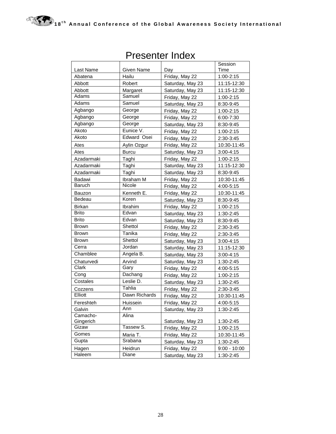|               |               |                  | Session        |
|---------------|---------------|------------------|----------------|
| Last Name     | Given Name    | Day              | Time           |
| Abatena       | Hailu         | Friday, May 22   | 1:00-2:15      |
| Abbott        | Robert        | Saturday, May 23 | 11:15-12:30    |
| Abbott        | Margaret      | Saturday, May 23 | 11:15-12:30    |
| Adams         | Samuel        | Friday, May 22   | 1:00-2:15      |
| Adams         | Samuel        | Saturday, May 23 | 8:30-9:45      |
| Agbango       | George        | Friday, May 22   | 1:00-2:15      |
| Agbango       | George        | Friday, May 22   | 6:00-7:30      |
| Agbango       | George        | Saturday, May 23 | 8:30-9:45      |
| Akoto         | Eunice V.     | Friday, May 22   | 1:00-2:15      |
| Akoto         | Edward Osei   | Friday, May 22   | 2:30-3:45      |
| Ates          | Aylin Ozgur   | Friday, May 22   | 10:30-11:45    |
| Ates          | <b>Burcu</b>  | Saturday, May 23 | 3:00-4:15      |
| Azadarmaki    | Taghi         | Friday, May 22   | 1:00-2:15      |
| Azadarmaki    | Taghi         | Saturday, May 23 | 11:15-12:30    |
| Azadarmaki    | Taghi         | Saturday, May 23 | 8:30-9:45      |
| Badawi        | Ibraham M     | Friday, May 22   | 10:30-11:45    |
| Baruch        | Nicole        | Friday, May 22   | 4:00-5:15      |
| <b>Bauzon</b> | Kenneth E.    | Friday, May 22   | 10:30-11:45    |
| Bedeau        | Koren         | Saturday, May 23 | 8:30-9:45      |
| <b>Birkan</b> | Ibrahim       | Friday, May 22   | 1:00-2:15      |
| <b>Brito</b>  | Edvan         | Saturday, May 23 | 1:30-2:45      |
| Brito         | Edvan         | Saturday, May 23 | 8:30-9:45      |
| <b>Brown</b>  | Shettol       | Friday, May 22   | 2:30-3:45      |
| <b>Brown</b>  | Tanika        | Friday, May 22   | 2:30-3:45      |
| <b>Brown</b>  | Shettol       | Saturday, May 23 | 3:00-4:15      |
| Cerra         | Jordan        | Saturday, May 23 | 11:15-12:30    |
| Chamblee      | Angela B.     | Saturday, May 23 | 3:00-4:15      |
| Chaturvedi    | Arvind        | Saturday, May 23 | 1:30-2:45      |
| Clark         | Gary          | Friday, May 22   | 4:00-5:15      |
| Cong          | Dachang       | Friday, May 22   | 1:00-2:15      |
| Costales      | Leslie D.     | Saturday, May 23 | 1:30-2:45      |
| Cozzens       | Tahlia        | Friday, May 22   | 2:30-3:45      |
| Elliott       | Dawn Richards | Friday, May 22   | 10:30-11:45    |
| Fereshteh     | Huissein      | Friday, May 22   | 4:00-5:15      |
| Galvin        | Ann           | Saturday, May 23 | 1:30-2:45      |
| Camacho-      | Alina         |                  |                |
| Gingerich     |               | Saturday, May 23 | 1:30-2:45      |
| Gizaw         | Tassew S.     | Friday, May 22   | $1:00 - 2:15$  |
| Gomes         | Maria T.      | Friday, May 22   | 10:30-11:45    |
| Gupta         | Srabana       | Saturday, May 23 | 1:30-2:45      |
| Hagen         | Heidrun       | Friday, May 22   | $9:00 - 10:00$ |
| Haleem        | Diane         | Saturday, May 23 | 1:30-2:45      |

#### Presenter Index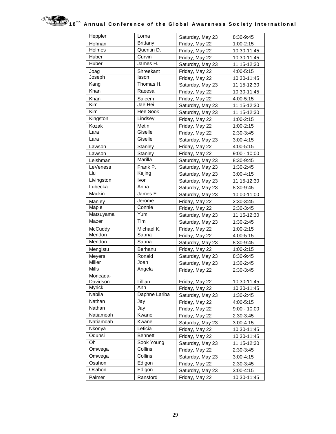

| Heppler       | Lorna           | Saturday, May 23 | 8:30-9:45      |
|---------------|-----------------|------------------|----------------|
| Hofman        | <b>Brittany</b> | Friday, May 22   | 1:00-2:15      |
| Holmes        | Quentin D.      | Friday, May 22   | 10:30-11:45    |
| Huber         | Curvin          | Friday, May 22   | 10:30-11:45    |
| Huber         | James H.        | Saturday, May 23 | 11:15-12:30    |
| Joag          | Shreekant       | Friday, May 22   | 4:00-5:15      |
| Joseph        | Isson           | Friday, May 22   | 10:30-11:45    |
| Kang          | Thomas H.       | Saturday, May 23 | 11:15-12:30    |
| Khan          | Raeesa          | Friday, May 22   | 10:30-11:45    |
| Khan          | Saleem          | Friday, May 22   | 4:00-5:15      |
| Kim           | Jae Hei         | Saturday, May 23 | 11:15-12:30    |
| Kim           | Hee Sook        | Saturday, May 23 | 11:15-12:30    |
| Kingston      | Lindsey         | Friday, May 22   | 1:00-2:15      |
| Kozak         | Metin           | Friday, May 22   | 1:00-2:15      |
| Lara          | Giselle         | Friday, May 22   | 2:30-3:45      |
| Lara          | Giselle         | Saturday, May 23 | $3:00 - 4:15$  |
| Lawson        | Stanley         | Friday, May 22   | 4:00-5:15      |
| Lawson        | Stanley         | Friday, May 22   | $9:00 - 10:00$ |
| Leishman      | Marilla         | Saturday, May 23 | 8:30-9:45      |
| LeVeness      | Frank P.        | Saturday, May 23 | 1:30-2:45      |
| Liu           | Kejing          | Saturday, May 23 | 3:00-4:15      |
| Livingston    | Ivor            | Saturday, May 23 | 11:15-12:30    |
| Lubecka       | Anna            | Saturday, May 23 | 8:30-9:45      |
| Mackin        | James E.        | Saturday, May 23 | 10:00-11:00    |
| Manley        | Jerome          | Friday, May 22   | 2:30-3:45      |
| Maple         | Connie          | Friday, May 22   | 2:30-3:45      |
| Matsuyama     | Yumi            | Saturday, May 23 | 11:15-12:30    |
| Mazer         | Tim             | Saturday, May 23 | 1:30-2:45      |
| McCuddy       | Michael K.      | Friday, May 22   | 1:00-2:15      |
| Mendon        | Sapna           | Friday, May 22   | 4:00-5:15      |
| Mendon        | Sapna           | Saturday, May 23 | 8:30-9:45      |
| Mengistu      | Berhanu         | Friday, May 22   | 1:00-2:15      |
| Meyers        | Ronald          | Saturday, May 23 | 8:30-9:45      |
| Miller        | Joan            | Saturday, May 23 | 1:30-2:45      |
| Mills         | Angela          | Friday, May 22   | 2:30-3:45      |
| Moncada-      |                 |                  |                |
| Davidson      | Lillian         | Friday, May 22   | 10:30-11:45    |
| <b>Myrick</b> | Ann             | Friday, May 22   | 10:30-11:45    |
| Nabila        | Daphne Lariba   | Saturday, May 23 | 1:30-2:45      |
| Nathan        | Jay             | Friday, May 22   | 4:00-5:15      |
| Nathan        | Jay             | Friday, May 22   | $9:00 - 10:00$ |
| Natiamoah     | Kwane           | Friday, May 22   | 2:30-3:45      |
| Natiamoah     | Kwane           | Saturday, May 23 | 3:00-4:15      |
| Nkonya        | Leticia         | Friday, May 22   | 10:30-11:45    |
| Odunsi        | <b>Bennett</b>  | Friday, May 22   | 10:30-11:45    |
| Oh            | Sook Young      | Saturday, May 23 | 11:15-12:30    |
| Omwega        | Collins         | Friday, May 22   | 2:30-3:45      |
| Omwega        | Collins         | Saturday, May 23 | $3:00 - 4:15$  |
| Osahon        | Edigon          | Friday, May 22   | 2:30-3:45      |
| Osahon        | Edigon          | Saturday, May 23 | 3:00-4:15      |
| Palmer        | Ransford        | Friday, May 22   | 10:30-11:45    |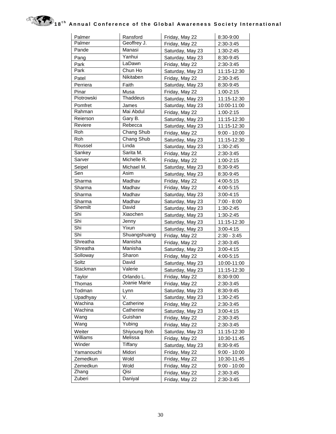| Palmer     | Ransford        | Friday, May 22   | 8:30-9:00      |
|------------|-----------------|------------------|----------------|
| Palmer     | Geoffrey J.     | Friday, May 22   | 2:30-3:45      |
| Pande      | Manasi          | Saturday, May 23 | 1:30-2:45      |
| Pang       | Yanhui          | Saturday, May 23 | 8:30-9:45      |
| Park       | LaDawn          | Friday, May 22   | 2:30-3:45      |
| Park       | Chun Ho         | Saturday, May 23 | 11:15-12:30    |
| Patel      | Nikitaben       | Friday, May 22   | 2:30-3:45      |
| Perriera   | Faith           | Saturday, May 23 | 8:30-9:45      |
| Pinar      | Musa            | Friday, May 22   | 1:00-2:15      |
| Piotrowski | <b>Thaddeus</b> | Saturday, May 23 | 11:15-12:30    |
| Pomfret    | James           | Saturday, May 23 | 10:00-11:00    |
| Rahman     | Mai Abdul       | Friday, May 22   | 1:00-2:15      |
| Reierson   | Gary B.         | Saturday, May 23 | 11:15-12:30    |
| Reviere    | Rebecca         | Saturday, May 23 | 11:15-12:30    |
| Roh        | Chang Shub      | Friday, May 22   | $9:00 - 10:00$ |
| <b>Roh</b> | Chang Shub      | Saturday, May 23 | 11:15-12:30    |
| Roussel    | Linda           | Saturday, May 23 | 1:30-2:45      |
| Sankey     | Sarita M.       | Friday, May 22   | 2:30-3:45      |
| Sarver     | Michelle R.     | Friday, May 22   | 1:00-2:15      |
| Seipel     | Michael M.      | Saturday, May 23 | 8:30-9:45      |
| Sen        | Asim            | Saturday, May 23 | 8:30-9:45      |
| Sharma     | Madhav          | Friday, May 22   | 4:00-5:15      |
| Sharma     | Madhav          | Friday, May 22   | 4:00-5:15      |
| Sharma     | Madhav          | Saturday, May 23 | $3:00 - 4:15$  |
| Sharma     | Madhav          | Saturday, May 23 | $7:00 - 8:00$  |
| Shemilt    | David           | Saturday, May 23 | 1:30-2:45      |
| Shi        | Xiaochen        | Saturday, May 23 | 1:30-2:45      |
| Shi        | Jenny           | Saturday, May 23 | 11:15-12:30    |
| Shi        | Yixun           | Saturday, May 23 | 3:00-4:15      |
| Shi        | Shuangshuang    | Friday, May 22   | $2:30 - 3:45$  |
| Shreatha   | Manisha         | Friday, May 22   | 2:30-3:45      |
| Shreatha   | Manisha         | Saturday, May 23 | $3:00 - 4:15$  |
| Solloway   | Sharon          | Friday, May 22   | 4:00-5:15      |
| Soltz      | David           | Saturday, May 23 | 10:00-11:00    |
| Stackman   | Valerie         | Saturday, May 23 | 11:15-12:30    |
| Taylor     | Orlando L       | Friday, May 22   | 8:30-9:00      |
| Thomas     | Joanie Marie    | Friday, May 22   | 2:30-3:45      |
| Todman     | Lynn            | Saturday, May 23 | 8:30-9:45      |
| Upadhyay   | V.              | Saturday, May 23 | 1:30-2:45      |
| Wachina    | Catherine       | Friday, May 22   | 2:30-3:45      |
| Wachina    | Catherine       | Saturday, May 23 | $3:00 - 4:15$  |
| Wang       | Guishan         | Friday, May 22   | 2:30-3:45      |
| Wang       | Yubing          | Friday, May 22   | 2:30-3:45      |
| Weiter     | Shiyoung Roh    | Saturday, May 23 | 11:15-12:30    |
| Williams   | Melissa         | Friday, May 22   | 10:30-11:45    |
| Winder     | Tiffany         | Saturday, May 23 | 8:30-9:45      |
| Yamanouchi | Midori          | Friday, May 22   | $9:00 - 10:00$ |
| Zemedkun   | Wold            | Friday, May 22   | 10:30-11:45    |
| Zemedkun   | Wold            | Friday, May 22   | $9:00 - 10:00$ |
| Zhang      | Qisi            | Friday, May 22   | 2:30-3:45      |
| Zuberi     | Daniyal         | Friday, May 22   | 2:30-3:45      |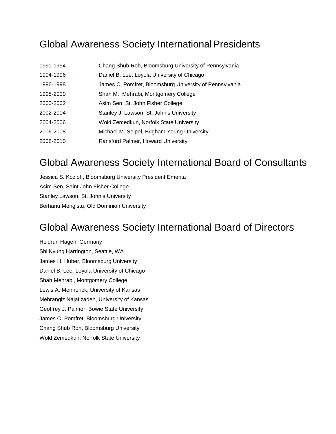#### Global Awareness Society International Presidents

| 1991-1994 | Chang Shub Roh, Bloomsburg University of Pennsylvania   |
|-----------|---------------------------------------------------------|
| 1994-1996 | Daniel B. Lee, Loyola University of Chicago             |
| 1996-1998 | James C. Pomfret, Bloomsburg University of Pennsylvania |
| 1998-2000 | Shah M. Mehrabi, Montgomery College                     |
| 2000-2002 | Asim Sen, St. John Fisher College                       |
| 2002-2004 | Stanley J. Lawson, St. John's University                |
| 2004-2006 | Wold Zemedkun, Norfolk State University                 |
| 2006-2008 | Michael M. Seipel, Brigham Young University             |
| 2008-2010 | Ransford Palmer, Howard University                      |

#### Global Awareness Society International Board of Consultants

Jessica S. Kozloff, Bloomsburg University President Emerita Asim Sen, Saint John Fisher College Stanley Lawson, St. John's University Berhanu Mengistu, Old Dominion University

#### Global Awareness Society International Board of Directors

Heidrun Hagen, Germany Shi Kyung Harrington, Seattle, WA James H. Huber, Bloomsburg University Daniel B. Lee. Loyola University of Chicago Shah Mehrabi, Montgomery College Lewis A. Mennerick, University of Kansas Mehrangiz Najafizadeh, University of Kansas Geoffrey J. Palmer, Bowie State University James C. Pomfret, Bloomsburg University Chang Shub Roh, Bloomsburg University Wold Zemedkun, Norfolk State University